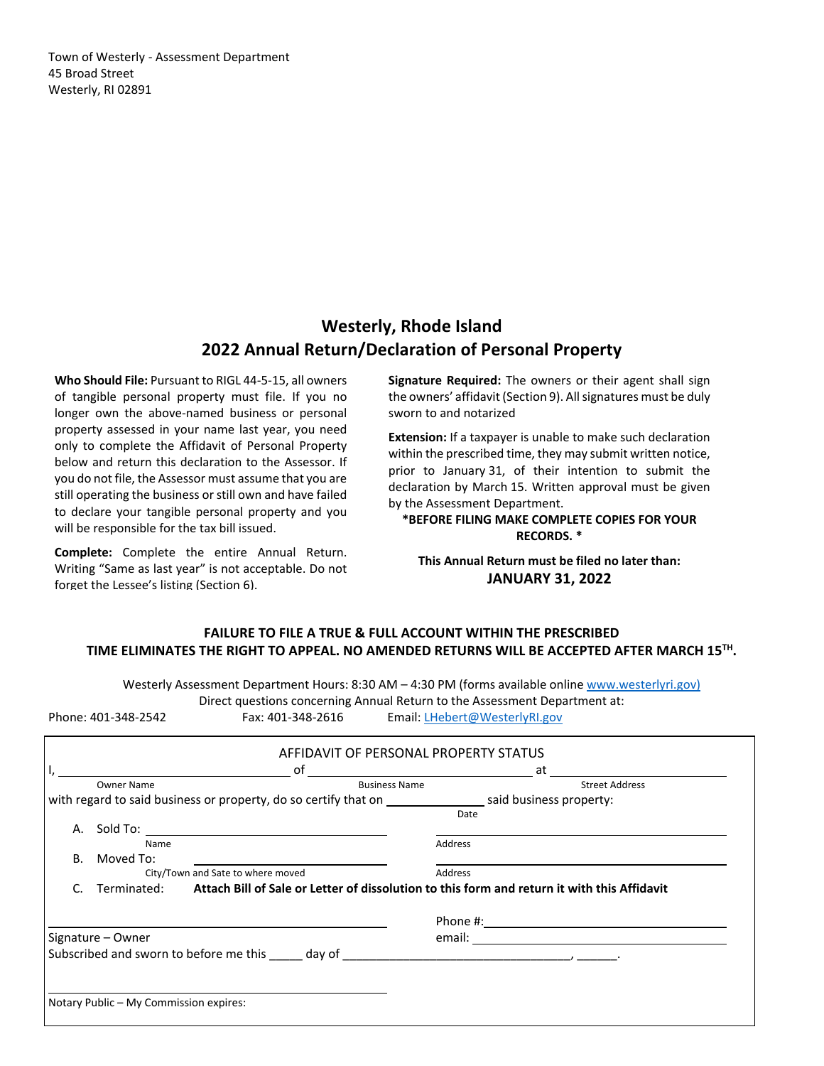Town of Westerly ‐ Assessment Department 45 Broad Street Westerly, RI 02891

# **Westerly, Rhode Island 2022 Annual Return/Declaration of Personal Property**

**Who Should File:** Pursuant to RIGL 44‐5‐15, all owners of tangible personal property must file. If you no longer own the above-named business or personal property assessed in your name last year, you need only to complete the Affidavit of Personal Property below and return this declaration to the Assessor. If you do not file, the Assessor must assume that you are still operating the business or still own and have failed to declare your tangible personal property and you will be responsible for the tax bill issued.

**Complete:** Complete the entire Annual Return. Writing "Same as last year" is not acceptable. Do not forget the Lessee's listing (Section 6).

**Signature Required:** The owners or their agent shall sign the owners' affidavit (Section 9). All signatures must be duly sworn to and notarized

**Extension:** If a taxpayer is unable to make such declaration within the prescribed time, they may submit written notice, prior to January 31, of their intention to submit the declaration by March 15. Written approval must be given by the Assessment Department.

**\*BEFORE FILING MAKE COMPLETE COPIES FOR YOUR RECORDS. \*** 

**This Annual Return must be filed no later than: JANUARY 31, 2022** 

# **FAILURE TO FILE A TRUE & FULL ACCOUNT WITHIN THE PRESCRIBED TIME ELIMINATES THE RIGHT TO APPEAL. NO AMENDED RETURNS WILL BE ACCEPTED AFTER MARCH 15TH.**

Westerly Assessment Department Hours: 8:30 AM – 4:30 PM (forms available online www.westerlyri.gov) Direct questions concerning Annual Return to the Assessment Department at: Phone: 401‐348‐2542 Fax: 401‐348‐2616 Email: LHebert@WesterlyRI.gov

|                                        | AFFIDAVIT OF PERSONAL PROPERTY STATUS                                                                   |         |                       |
|----------------------------------------|---------------------------------------------------------------------------------------------------------|---------|-----------------------|
|                                        |                                                                                                         |         | at                    |
| <b>Owner Name</b>                      | <b>Business Name</b>                                                                                    |         | <b>Street Address</b> |
|                                        |                                                                                                         |         |                       |
|                                        |                                                                                                         | Date    |                       |
| А.                                     |                                                                                                         |         |                       |
| Name                                   |                                                                                                         | Address |                       |
| Moved To:<br><b>B.</b>                 |                                                                                                         |         |                       |
|                                        | City/Town and Sate to where moved                                                                       | Address |                       |
|                                        | Terminated: Attach Bill of Sale or Letter of dissolution to this form and return it with this Affidavit |         |                       |
|                                        |                                                                                                         |         |                       |
|                                        |                                                                                                         |         |                       |
| Signature – Owner                      |                                                                                                         |         |                       |
|                                        |                                                                                                         |         |                       |
|                                        |                                                                                                         |         |                       |
|                                        |                                                                                                         |         |                       |
|                                        |                                                                                                         |         |                       |
| Notary Public - My Commission expires: |                                                                                                         |         |                       |
|                                        |                                                                                                         |         |                       |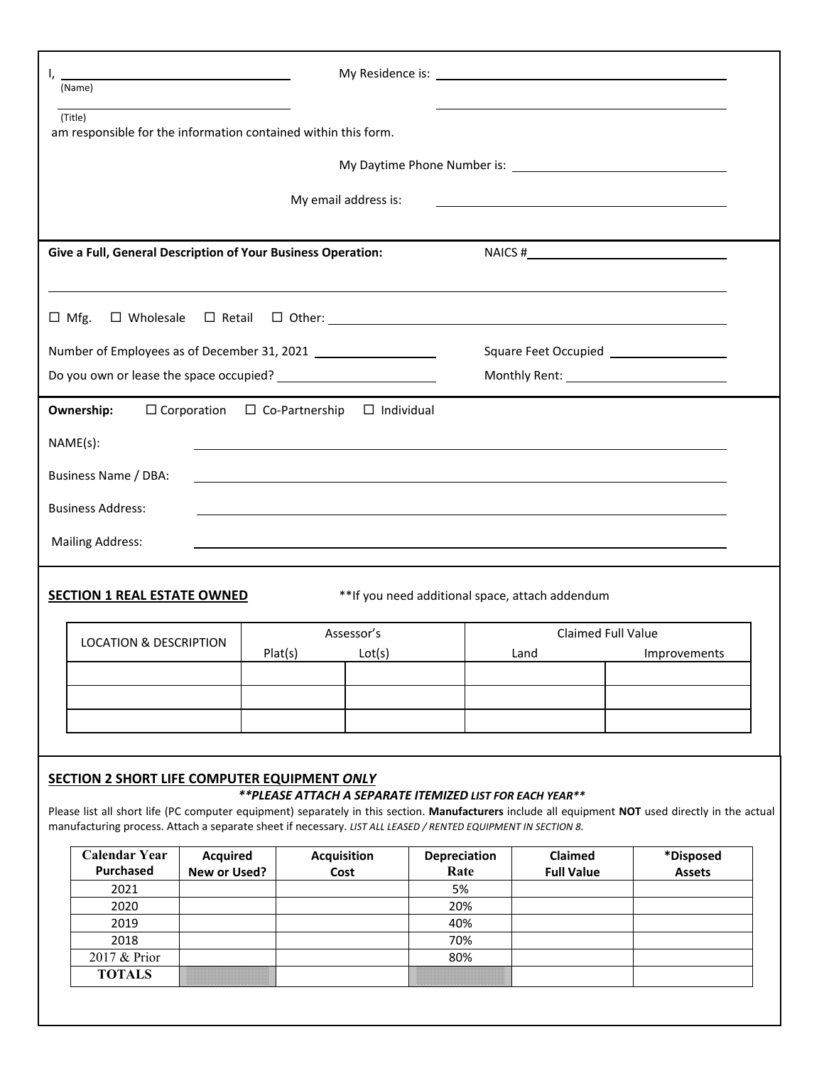| ı,                                                                                                                                                                                                                            | <u> 1989 - Johann Barbara, martin amerikan basar dan basa dan basa dan basa dalam basa dalam basa dalam basa dala</u><br>(Name)                                                                                                                                     |                                          |         |                      |                   |                                                          |                           |                                           |  |
|-------------------------------------------------------------------------------------------------------------------------------------------------------------------------------------------------------------------------------|---------------------------------------------------------------------------------------------------------------------------------------------------------------------------------------------------------------------------------------------------------------------|------------------------------------------|---------|----------------------|-------------------|----------------------------------------------------------|---------------------------|-------------------------------------------|--|
|                                                                                                                                                                                                                               | (Title)                                                                                                                                                                                                                                                             |                                          |         |                      |                   |                                                          |                           |                                           |  |
| am responsible for the information contained within this form.                                                                                                                                                                |                                                                                                                                                                                                                                                                     |                                          |         |                      |                   |                                                          |                           |                                           |  |
|                                                                                                                                                                                                                               |                                                                                                                                                                                                                                                                     |                                          |         |                      |                   |                                                          |                           |                                           |  |
|                                                                                                                                                                                                                               |                                                                                                                                                                                                                                                                     |                                          |         | My email address is: |                   |                                                          |                           |                                           |  |
| the control of the control of the control of the control of the control of the control of the control of the control of the control of the control of the control of the control of the control of the control of the control |                                                                                                                                                                                                                                                                     |                                          |         |                      |                   |                                                          |                           |                                           |  |
| Give a Full, General Description of Your Business Operation:                                                                                                                                                                  |                                                                                                                                                                                                                                                                     |                                          |         |                      |                   |                                                          |                           |                                           |  |
|                                                                                                                                                                                                                               |                                                                                                                                                                                                                                                                     |                                          |         |                      |                   |                                                          |                           |                                           |  |
|                                                                                                                                                                                                                               | $\Box$ Mfg.                                                                                                                                                                                                                                                         |                                          |         |                      |                   |                                                          |                           |                                           |  |
|                                                                                                                                                                                                                               |                                                                                                                                                                                                                                                                     |                                          |         |                      |                   |                                                          |                           | Square Feet Occupied ____________________ |  |
|                                                                                                                                                                                                                               |                                                                                                                                                                                                                                                                     |                                          |         |                      |                   |                                                          |                           |                                           |  |
|                                                                                                                                                                                                                               | Ownership:                                                                                                                                                                                                                                                          | $\Box$ Corporation $\Box$ Co-Partnership |         |                      | $\Box$ Individual |                                                          |                           |                                           |  |
|                                                                                                                                                                                                                               | NAME(s):                                                                                                                                                                                                                                                            |                                          |         |                      |                   |                                                          |                           |                                           |  |
|                                                                                                                                                                                                                               |                                                                                                                                                                                                                                                                     |                                          |         |                      |                   |                                                          |                           |                                           |  |
|                                                                                                                                                                                                                               | Business Name / DBA:                                                                                                                                                                                                                                                |                                          |         |                      |                   |                                                          |                           |                                           |  |
|                                                                                                                                                                                                                               | <b>Business Address:</b>                                                                                                                                                                                                                                            |                                          |         |                      |                   |                                                          |                           |                                           |  |
|                                                                                                                                                                                                                               | <b>Mailing Address:</b>                                                                                                                                                                                                                                             |                                          |         |                      |                   |                                                          |                           |                                           |  |
|                                                                                                                                                                                                                               |                                                                                                                                                                                                                                                                     |                                          |         |                      |                   |                                                          |                           |                                           |  |
|                                                                                                                                                                                                                               | <b>SECTION 1 REAL ESTATE OWNED</b>                                                                                                                                                                                                                                  |                                          |         |                      |                   | ** If you need additional space, attach addendum         |                           |                                           |  |
|                                                                                                                                                                                                                               |                                                                                                                                                                                                                                                                     |                                          |         | Assessor's           |                   |                                                          | <b>Claimed Full Value</b> |                                           |  |
|                                                                                                                                                                                                                               | <b>LOCATION &amp; DESCRIPTION</b>                                                                                                                                                                                                                                   |                                          | Plat(s) | Lot(s)               |                   | Land                                                     |                           | Improvements                              |  |
|                                                                                                                                                                                                                               |                                                                                                                                                                                                                                                                     |                                          |         |                      |                   |                                                          |                           |                                           |  |
|                                                                                                                                                                                                                               |                                                                                                                                                                                                                                                                     |                                          |         |                      |                   |                                                          |                           |                                           |  |
|                                                                                                                                                                                                                               |                                                                                                                                                                                                                                                                     |                                          |         |                      |                   |                                                          |                           |                                           |  |
|                                                                                                                                                                                                                               |                                                                                                                                                                                                                                                                     |                                          |         |                      |                   |                                                          |                           |                                           |  |
|                                                                                                                                                                                                                               | <b>SECTION 2 SHORT LIFE COMPUTER EQUIPMENT ONLY</b>                                                                                                                                                                                                                 |                                          |         |                      |                   | **PLEASE ATTACH A SEPARATE ITEMIZED LIST FOR EACH YEAR** |                           |                                           |  |
|                                                                                                                                                                                                                               | Please list all short life (PC computer equipment) separately in this section. Manufacturers include all equipment NOT used directly in the actual<br>manufacturing process. Attach a separate sheet if necessary. LIST ALL LEASED / RENTED EQUIPMENT IN SECTION 8. |                                          |         |                      |                   |                                                          |                           |                                           |  |
|                                                                                                                                                                                                                               | <b>Calendar Year</b>                                                                                                                                                                                                                                                | <b>Acquired</b>                          |         | <b>Acquisition</b>   | Depreciation      |                                                          | Claimed                   | *Disposed                                 |  |
|                                                                                                                                                                                                                               | Purchased                                                                                                                                                                                                                                                           | New or Used?                             |         | Cost                 | Rate              |                                                          | <b>Full Value</b>         | <b>Assets</b>                             |  |
|                                                                                                                                                                                                                               | 2021                                                                                                                                                                                                                                                                |                                          |         |                      | 5%                |                                                          |                           |                                           |  |
|                                                                                                                                                                                                                               | 2020<br>2019                                                                                                                                                                                                                                                        |                                          |         |                      | 20%<br>40%        |                                                          |                           |                                           |  |
|                                                                                                                                                                                                                               | 2018                                                                                                                                                                                                                                                                |                                          |         |                      | 70%               |                                                          |                           |                                           |  |
|                                                                                                                                                                                                                               | 2017 & Prior                                                                                                                                                                                                                                                        |                                          |         |                      | 80%               |                                                          |                           |                                           |  |
|                                                                                                                                                                                                                               | <b>TOTALS</b>                                                                                                                                                                                                                                                       |                                          |         |                      |                   |                                                          |                           |                                           |  |
|                                                                                                                                                                                                                               |                                                                                                                                                                                                                                                                     |                                          |         |                      |                   |                                                          |                           |                                           |  |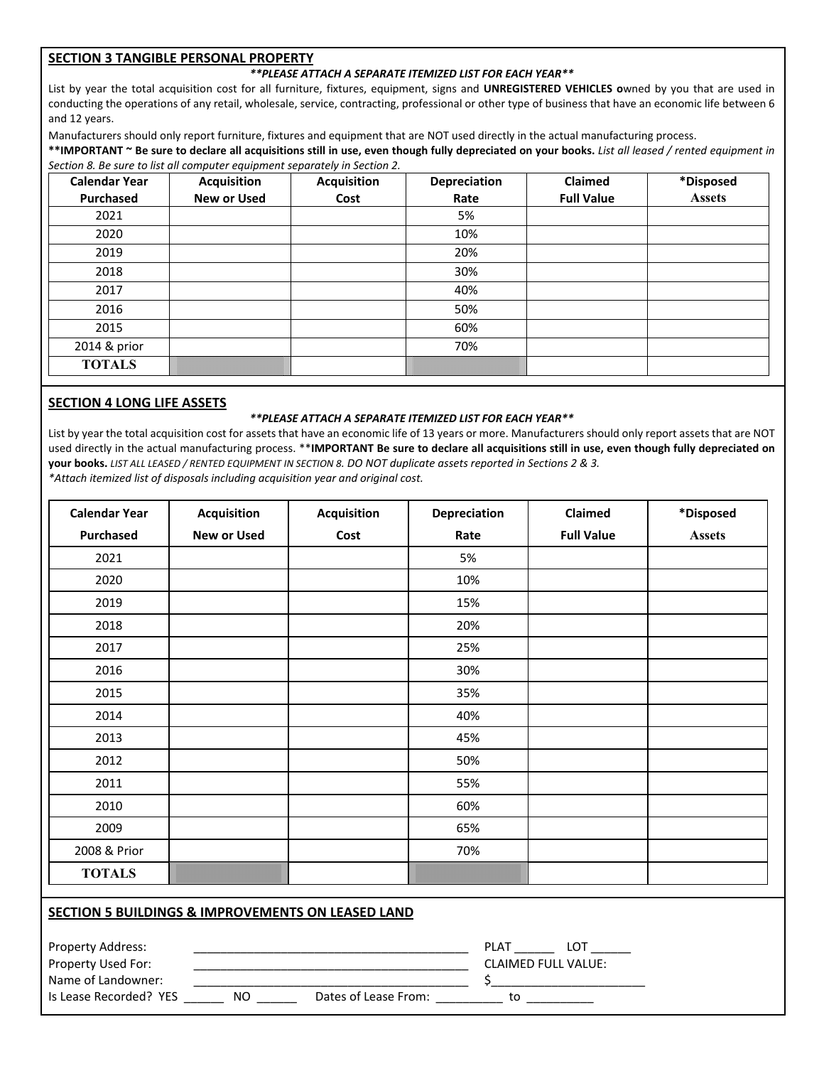## **SECTION 3 TANGIBLE PERSONAL PROPERTY**

## *\*\*PLEASE ATTACH A SEPARATE ITEMIZED LIST FOR EACH YEAR\*\**

List by year the total acquisition cost for all furniture, fixtures, equipment, signs and **UNREGISTERED VEHICLES o**wned by you that are used in conducting the operations of any retail, wholesale, service, contracting, professional or other type of business that have an economic life between 6 and 12 years.

Manufacturers should only report furniture, fixtures and equipment that are NOT used directly in the actual manufacturing process.

**\*\*IMPORTANT ~ Be sure to declare all acquisitions still in use, even though fully depreciated on your books.** *List all leased / rented equipment in Section 8. Be sure to list all computer equipment separately in Section 2.* 

| <b>Calendar Year</b><br>Purchased | <b>Acquisition</b><br><b>New or Used</b> | <b>Acquisition</b><br>Cost | Depreciation<br>Rate | Claimed<br><b>Full Value</b> | *Disposed<br><b>Assets</b> |
|-----------------------------------|------------------------------------------|----------------------------|----------------------|------------------------------|----------------------------|
| 2021                              |                                          |                            | 5%                   |                              |                            |
| 2020                              |                                          |                            | 10%                  |                              |                            |
| 2019                              |                                          |                            | 20%                  |                              |                            |
| 2018                              |                                          |                            | 30%                  |                              |                            |
| 2017                              |                                          |                            | 40%                  |                              |                            |
| 2016                              |                                          |                            | 50%                  |                              |                            |
| 2015                              |                                          |                            | 60%                  |                              |                            |
| 2014 & prior                      |                                          |                            | 70%                  |                              |                            |
| <b>TOTALS</b>                     |                                          |                            |                      |                              |                            |

## **SECTION 4 LONG LIFE ASSETS**

### *\*\*PLEASE ATTACH A SEPARATE ITEMIZED LIST FOR EACH YEAR\*\**

List by year the total acquisition cost for assets that have an economic life of 13 years or more. Manufacturers should only report assets that are NOT used directly in the actual manufacturing process. \*\***IMPORTANT Be sure to declare all acquisitions still in use, even though fully depreciated on your books.** *LIST ALL LEASED / RENTED EQUIPMENT IN SECTION 8. DO NOT duplicate assets reported in Sections 2 & 3. \*Attach itemized list of disposals including acquisition year and original cost.* 

| <b>Calendar Year</b> | <b>Acquisition</b> | <b>Acquisition</b> | Depreciation | Claimed           | *Disposed     |
|----------------------|--------------------|--------------------|--------------|-------------------|---------------|
| Purchased            | <b>New or Used</b> | Cost               | Rate         | <b>Full Value</b> | <b>Assets</b> |
| 2021                 |                    |                    | 5%           |                   |               |
| 2020                 |                    |                    | 10%          |                   |               |
| 2019                 |                    |                    | 15%          |                   |               |
| 2018                 |                    |                    | 20%          |                   |               |
| 2017                 |                    |                    | 25%          |                   |               |
| 2016                 |                    |                    | 30%          |                   |               |
| 2015                 |                    |                    | 35%          |                   |               |
| 2014                 |                    |                    | 40%          |                   |               |
| 2013                 |                    |                    | 45%          |                   |               |
| 2012                 |                    |                    | 50%          |                   |               |
| 2011                 |                    |                    | 55%          |                   |               |
| 2010                 |                    |                    | 60%          |                   |               |
| 2009                 |                    |                    | 65%          |                   |               |
| 2008 & Prior         |                    |                    | 70%          |                   |               |
| <b>TOTALS</b>        |                    |                    |              |                   |               |

## **SECTION 5 BUILDINGS & IMPROVEMENTS ON LEASED LAND**

| <b>Property Address:</b> |    |                      | PI A1                      |
|--------------------------|----|----------------------|----------------------------|
| Property Used For:       |    |                      | <b>CLAIMED FULL VALUE:</b> |
| Name of Landowner:       |    |                      |                            |
| Is Lease Recorded? YES   | NΟ | Dates of Lease From: | τо                         |